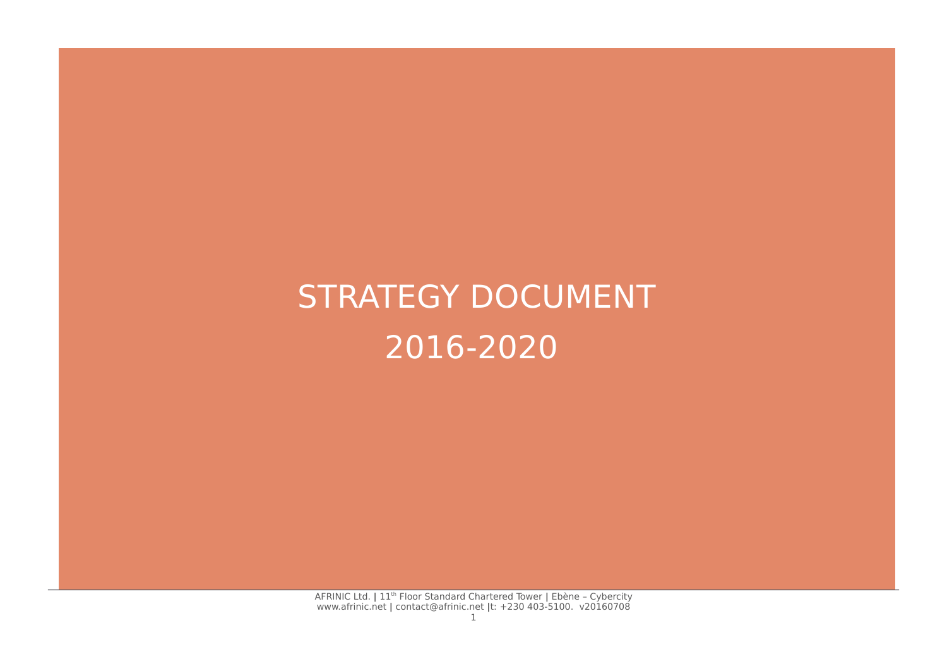# STRATEGY DOCUMENT 2016-2020

AFRINIC Ltd. **|** 11th Floor Standard Chartered Tower **|** Ebène – Cybercity www.afrinic.net **|** contact@afrinic.net **|**t: +230 403-5100. v20160708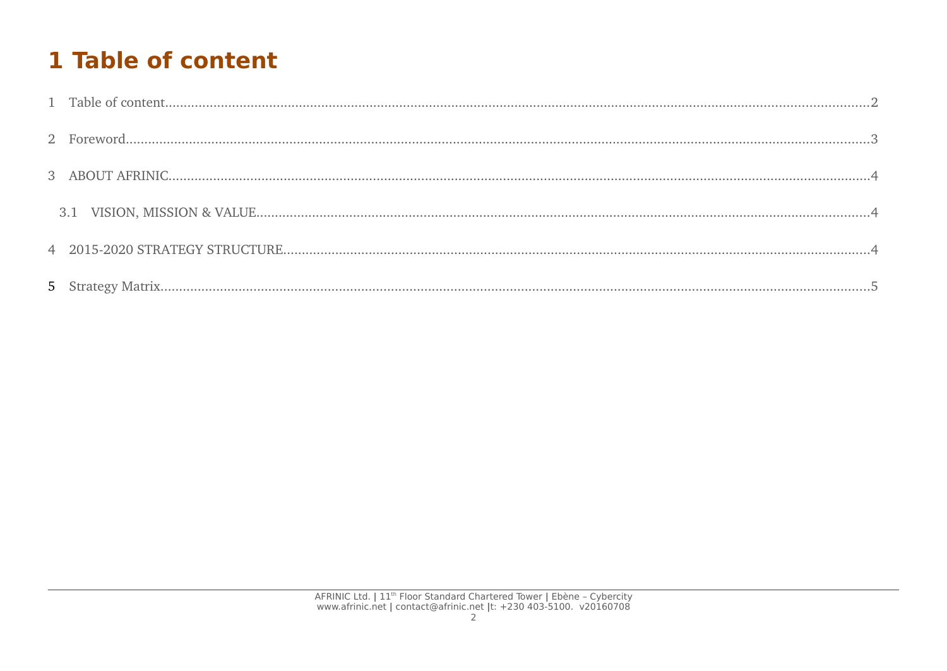# 1 Table of content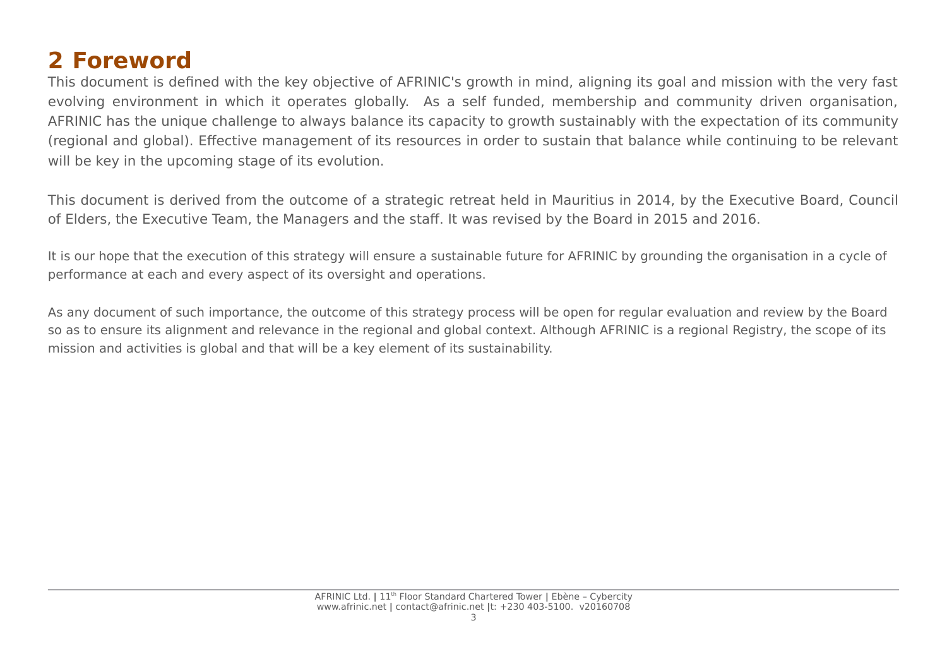## **2 Foreword**

This document is defined with the key objective of AFRINIC's growth in mind, aligning its goal and mission with the very fast evolving environment in which it operates globally. As a self funded, membership and community driven organisation, AFRINIC has the unique challenge to always balance its capacity to growth sustainably with the expectation of its community (regional and global). Effective management of its resources in order to sustain that balance while continuing to be relevant will be key in the upcoming stage of its evolution.

This document is derived from the outcome of a strategic retreat held in Mauritius in 2014, by the Executive Board, Council of Elders, the Executive Team, the Managers and the staff. It was revised by the Board in 2015 and 2016.

It is our hope that the execution of this strategy will ensure a sustainable future for AFRINIC by grounding the organisation in a cycle of performance at each and every aspect of its oversight and operations.

As any document of such importance, the outcome of this strategy process will be open for regular evaluation and review by the Board so as to ensure its alignment and relevance in the regional and global context. Although AFRINIC is a regional Registry, the scope of its mission and activities is global and that will be a key element of its sustainability.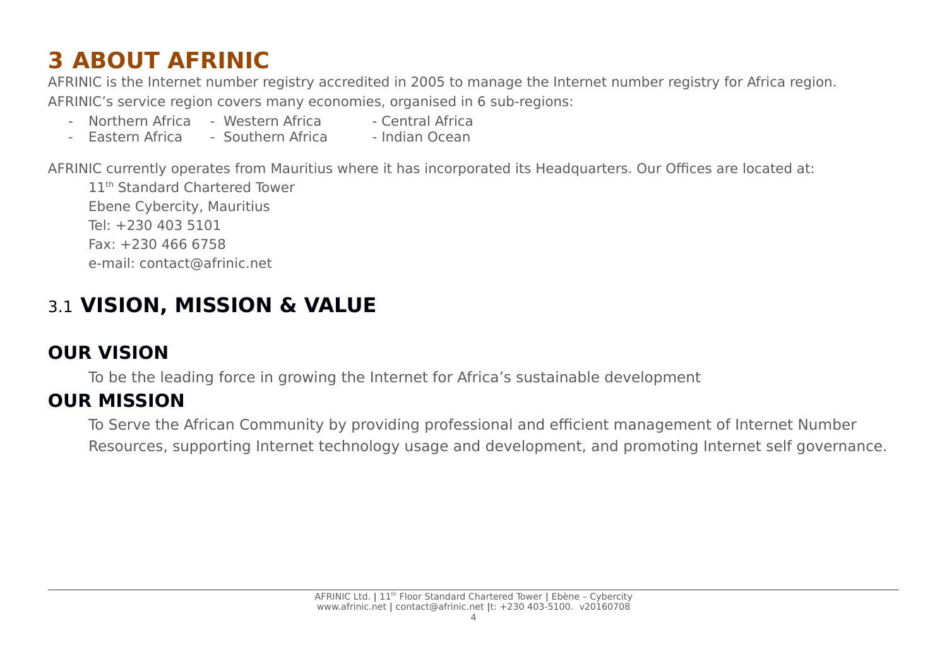# **3 ABOUT AFRINIC**

AFRINIC is the Internet number registry accredited in 2005 to manage the Internet number registry for Africa region. AFRINIC's service region covers many economies, organised in 6 sub-regions:

- Northern Africa Western Africa Central Africa
- Fastern Africa Southern Africa Indian Ocean

AFRINIC currently operates from Mauritius where it has incorporated its Headquarters. Our Offices are located at:

11<sup>th</sup> Standard Chartered Tower Ebene Cybercity, Mauritius Tel: +230 403 5101 Fax: +230 466 6758 e-mail: contact@afrinic.net

## 3.1 **VISION, MISSION & VALUE**

### **OUR VISION**

To be the leading force in growing the Internet for Africa's sustainable development

#### **OUR MISSION**

To Serve the African Community by providing professional and efficient management of Internet Number Resources, supporting Internet technology usage and development, and promoting Internet self governance.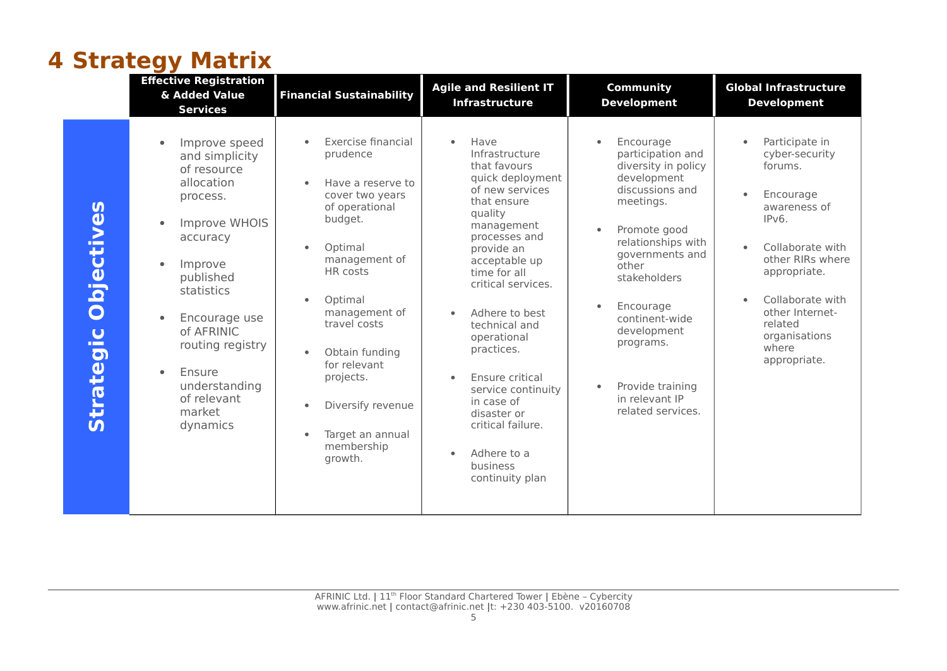## **4 Strategy Matrix**

|                                                                                                             | <b>Effective Registration</b><br>& Added Value<br><b>Services</b>                                                                                                                                                                                                                                                               | <b>Financial Sustainability</b>                                                                                                                                                                                                                                                                                                                                                        | <b>Agile and Resilient IT</b><br><b>Infrastructure</b>                                                                                                                                                                                                                                                                                                                                                                                                                   | <b>Community</b><br><b>Development</b>                                                                                                                                                                                                                                                                                                                           | <b>Global Infrastructure</b><br><b>Development</b>                                                                                                                                                                                                              |
|-------------------------------------------------------------------------------------------------------------|---------------------------------------------------------------------------------------------------------------------------------------------------------------------------------------------------------------------------------------------------------------------------------------------------------------------------------|----------------------------------------------------------------------------------------------------------------------------------------------------------------------------------------------------------------------------------------------------------------------------------------------------------------------------------------------------------------------------------------|--------------------------------------------------------------------------------------------------------------------------------------------------------------------------------------------------------------------------------------------------------------------------------------------------------------------------------------------------------------------------------------------------------------------------------------------------------------------------|------------------------------------------------------------------------------------------------------------------------------------------------------------------------------------------------------------------------------------------------------------------------------------------------------------------------------------------------------------------|-----------------------------------------------------------------------------------------------------------------------------------------------------------------------------------------------------------------------------------------------------------------|
| $\mathbf{u}$<br>bjective<br>$\overline{\mathbf{O}}$<br>$\overline{U}$<br><b>COLOR</b><br>D<br><b>Strate</b> | Improve speed<br>$\bullet$<br>and simplicity<br>of resource<br>allocation<br>process.<br>Improve WHOIS<br>$\bullet$<br>accuracy<br>Improve<br>$\bullet$<br>published<br>statistics<br>Encourage use<br>$\bullet$<br>of AFRINIC<br>routing registry<br>Ensure<br>$\bullet$<br>understanding<br>of relevant<br>market<br>dynamics | Exercise financial<br>prudence<br>Have a reserve to<br>$\bullet$<br>cover two years<br>of operational<br>budget.<br>Optimal<br>$\bullet$<br>management of<br>HR costs<br>Optimal<br>$\bullet$<br>management of<br>travel costs<br>Obtain funding<br>$\bullet$<br>for relevant<br>projects.<br>Diversify revenue<br>$\bullet$<br>Target an annual<br>$\bullet$<br>membership<br>growth. | Have<br>$\bullet$<br>Infrastructure<br>that favours<br>quick deployment<br>of new services<br>that ensure<br>quality<br>management<br>processes and<br>provide an<br>acceptable up<br>time for all<br>critical services.<br>Adhere to best<br>$\bullet$<br>technical and<br>operational<br>practices.<br>Ensure critical<br>$\bullet$<br>service continuity<br>in case of<br>disaster or<br>critical failure.<br>Adhere to a<br>$\bullet$<br>business<br>continuity plan | Encourage<br>$\bullet$<br>participation and<br>diversity in policy<br>development<br>discussions and<br>meetings.<br>Promote good<br>$\bullet$<br>relationships with<br>governments and<br>other<br>stakeholders<br>Encourage<br>$\bullet$<br>continent-wide<br>development<br>programs.<br>Provide training<br>$\bullet$<br>in relevant IP<br>related services. | Participate in<br>cyber-security<br>forums.<br>Encourage<br>$\bullet$<br>awareness of<br>IPv6.<br>Collaborate with<br>$\bullet$<br>other RIRs where<br>appropriate.<br>Collaborate with<br>other Internet-<br>related<br>organisations<br>where<br>appropriate. |